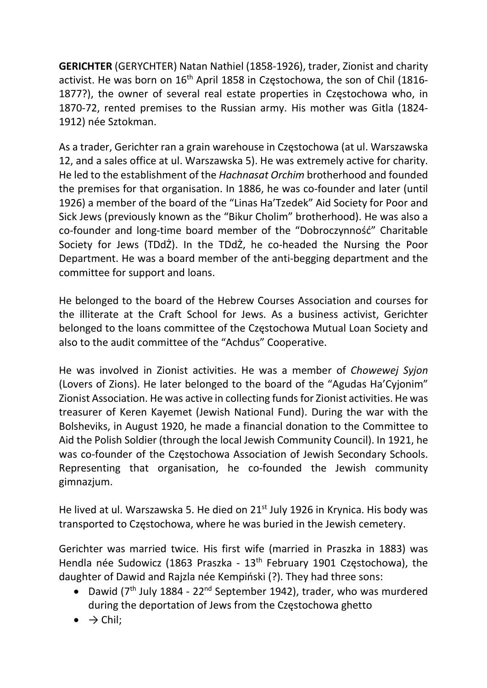GERICHTER (GERYCHTER) Natan Nathiel (1858-1926), trader, Zionist and charity activist. He was born on 16<sup>th</sup> April 1858 in Częstochowa, the son of Chil (1816-1877?), the owner of several real estate properties in Częstochowa who, in 1870-72, rented premises to the Russian army. His mother was Gitla (1824- 1912) née Sztokman.

As a trader, Gerichter ran a grain warehouse in Częstochowa (at ul. Warszawska 12, and a sales office at ul. Warszawska 5). He was extremely active for charity. He led to the establishment of the Hachnasat Orchim brotherhood and founded the premises for that organisation. In 1886, he was co-founder and later (until 1926) a member of the board of the "Linas Ha'Tzedek" Aid Society for Poor and Sick Jews (previously known as the "Bikur Cholim" brotherhood). He was also a co-founder and long-time board member of the "Dobroczynność" Charitable Society for Jews (TDdŻ). In the TDdŻ, he co-headed the Nursing the Poor Department. He was a board member of the anti-begging department and the committee for support and loans.

He belonged to the board of the Hebrew Courses Association and courses for the illiterate at the Craft School for Jews. As a business activist, Gerichter belonged to the loans committee of the Częstochowa Mutual Loan Society and also to the audit committee of the "Achdus" Cooperative.

He was involved in Zionist activities. He was a member of Chowewej Syjon (Lovers of Zions). He later belonged to the board of the "Agudas Ha'Cyjonim" Zionist Association. He was active in collecting funds for Zionist activities. He was treasurer of Keren Kayemet (Jewish National Fund). During the war with the Bolsheviks, in August 1920, he made a financial donation to the Committee to Aid the Polish Soldier (through the local Jewish Community Council). In 1921, he was co-founder of the Częstochowa Association of Jewish Secondary Schools. Representing that organisation, he co-founded the Jewish community gimnazjum.

He lived at ul. Warszawska 5. He died on 21<sup>st</sup> July 1926 in Krynica. His body was transported to Częstochowa, where he was buried in the Jewish cemetery.

Gerichter was married twice. His first wife (married in Praszka in 1883) was Hendla née Sudowicz (1863 Praszka - 13th February 1901 Częstochowa), the daughter of Dawid and Rajzla née Kempiński (?). They had three sons:

- Dawid ( $7<sup>th</sup>$  July 1884 22<sup>nd</sup> September 1942), trader, who was murdered during the deportation of Jews from the Częstochowa ghetto
- $\bullet \quad \Rightarrow$  Chil;